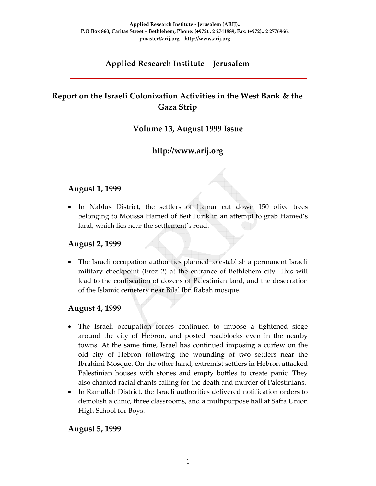# **Applied Research Institute – Jerusalem**

# **Report on the Israeli Colonization Activities in the West Bank & the Gaza Strip**

## **Volume 13, August 1999 Issue**

# **http://www.arij.org**

### **August 1, 1999**

• In Nablus District, the settlers of Itamar cut down 150 olive trees belonging to Moussa Hamed of Beit Furik in an attempt to grab Hamed's land, which lies near the settlement's road.

#### **August 2, 1999**

• The Israeli occupation authorities planned to establish a permanent Israeli military checkpoint (Erez 2) at the entrance of Bethlehem city. This will lead to the confiscation of dozens of Palestinian land, and the desecration of the Islamic cemetery near Bilal Ibn Rabah mosque.

#### **August 4, 1999**

- The Israeli occupation forces continued to impose a tightened siege around the city of Hebron, and posted roadblocks even in the nearby towns. At the same time, Israel has continued imposing a curfew on the old city of Hebron following the wounding of two settlers near the Ibrahimi Mosque. On the other hand, extremist settlers in Hebron attacked Palestinian houses with stones and empty bottles to create panic. They also chanted racial chants calling for the death and murder of Palestinians.
- In Ramallah District, the Israeli authorities delivered notification orders to demolish a clinic, three classrooms, and a multipurpose hall at Saffa Union High School for Boys.

#### **August 5, 1999**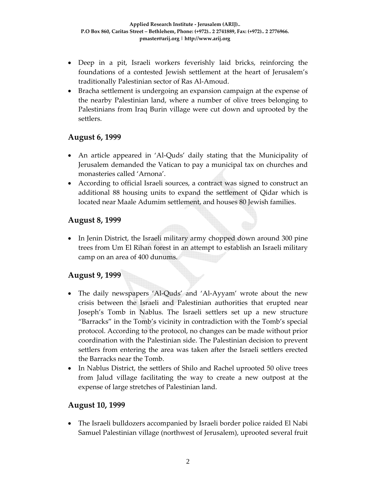- Deep in a pit, Israeli workers feverishly laid bricks, reinforcing the foundations of a contested Jewish settlement at the heart of Jerusalem's traditionally Palestinian sector of Ras Al‐Amoud.
- Bracha settlement is undergoing an expansion campaign at the expense of the nearby Palestinian land, where a number of olive trees belonging to Palestinians from Iraq Burin village were cut down and uprooted by the settlers.

## **August 6, 1999**

- An article appeared in 'Al‐Quds' daily stating that the Municipality of Jerusalem demanded the Vatican to pay a municipal tax on churches and monasteries called 'Arnona'.
- According to official Israeli sources, a contract was signed to construct an additional 88 housing units to expand the settlement of Qidar which is located near Maale Adumim settlement, and houses 80 Jewish families.

## **August 8, 1999**

• In Jenin District, the Israeli military army chopped down around 300 pine trees from Um El Rihan forest in an attempt to establish an Israeli military camp on an area of 400 dunums.

## **August 9, 1999**

- The daily newspapers 'Al‐Quds' and 'Al‐Ayyam' wrote about the new crisis between the Israeli and Palestinian authorities that erupted near Joseph's Tomb in Nablus. The Israeli settlers set up a new structure "Barracks" in the Tomb's vicinity in contradiction with the Tomb's special protocol. According to the protocol, no changes can be made without prior coordination with the Palestinian side. The Palestinian decision to prevent settlers from entering the area was taken after the Israeli settlers erected the Barracks near the Tomb.
- In Nablus District, the settlers of Shilo and Rachel uprooted 50 olive trees from Jalud village facilitating the way to create a new outpost at the expense of large stretches of Palestinian land.

### **August 10, 1999**

• The Israeli bulldozers accompanied by Israeli border police raided El Nabi Samuel Palestinian village (northwest of Jerusalem), uprooted several fruit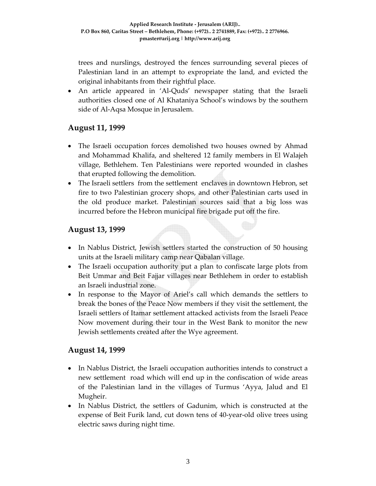trees and nurslings, destroyed the fences surrounding several pieces of Palestinian land in an attempt to expropriate the land, and evicted the original inhabitants from their rightful place.

• An article appeared in 'Al-Quds' newspaper stating that the Israeli authorities closed one of Al Khataniya School's windows by the southern side of Al‐Aqsa Mosque in Jerusalem.

## **August 11, 1999**

- The Israeli occupation forces demolished two houses owned by Ahmad and Mohammad Khalifa, and sheltered 12 family members in El Walajeh village, Bethlehem. Ten Palestinians were reported wounded in clashes that erupted following the demolition.
- The Israeli settlers from the settlement enclaves in downtown Hebron, set fire to two Palestinian grocery shops, and other Palestinian carts used in the old produce market. Palestinian sources said that a big loss was incurred before the Hebron municipal fire brigade put off the fire.

## **August 13, 1999**

- In Nablus District, Jewish settlers started the construction of 50 housing units at the Israeli military camp near Qabalan village.
- The Israeli occupation authority put a plan to confiscate large plots from Beit Ummar and Beit Fajjar villages near Bethlehem in order to establish an Israeli industrial zone.
- In response to the Mayor of Ariel's call which demands the settlers to break the bones of the Peace Now members if they visit the settlement, the Israeli settlers of Itamar settlement attacked activists from the Israeli Peace Now movement during their tour in the West Bank to monitor the new Jewish settlements created after the Wye agreement.

### **August 14, 1999**

- In Nablus District, the Israeli occupation authorities intends to construct a new settlement road which will end up in the confiscation of wide areas of the Palestinian land in the villages of Turmus 'Ayya, Jalud and El Mugheir.
- In Nablus District, the settlers of Gadunim, which is constructed at the expense of Beit Furik land, cut down tens of 40‐year‐old olive trees using electric saws during night time.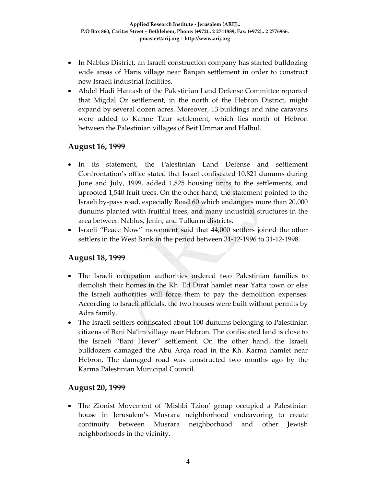- In Nablus District, an Israeli construction company has started bulldozing wide areas of Haris village near Barqan settlement in order to construct new Israeli industrial facilities.
- Abdel Hadi Hantash of the Palestinian Land Defense Committee reported that Migdal Oz settlement, in the north of the Hebron District, might expand by several dozen acres. Moreover, 13 buildings and nine caravans were added to Karme Tzur settlement, which lies north of Hebron between the Palestinian villages of Beit Ummar and Halhul.

### **August 16, 1999**

- In its statement, the Palestinian Land Defense and settlement Confrontation's office stated that Israel confiscated 10,821 dunums during June and July, 1999, added 1,825 housing units to the settlements, and uprooted 1,540 fruit trees. On the other hand, the statement pointed to the Israeli by‐pass road, especially Road 60 which endangers more than 20,000 dunums planted with fruitful trees, and many industrial structures in the area between Nablus, Jenin, and Tulkarm districts.
- Israeli "Peace Now" movement said that 44,000 settlers joined the other settlers in the West Bank in the period between 31‐12‐1996 to 31‐12‐1998.

## **August 18, 1999**

- The Israeli occupation authorities ordered two Palestinian families to demolish their homes in the Kh. Ed Dirat hamlet near Yatta town or else the Israeli authorities will force them to pay the demolition expenses. According to Israeli officials, the two houses were built without permits by Adra family.
- The Israeli settlers confiscated about 100 dunums belonging to Palestinian citizens of Bani Na'im village near Hebron. The confiscated land is close to the Israeli "Bani Hever" settlement. On the other hand, the Israeli bulldozers damaged the Abu Arqa road in the Kh. Karma hamlet near Hebron. The damaged road was constructed two months ago by the Karma Palestinian Municipal Council.

## **August 20, 1999**

• The Zionist Movement of 'Mishbi Tzion' group occupied a Palestinian house in Jerusalem's Musrara neighborhood endeavoring to create continuity between Musrara neighborhood and other Jewish neighborhoods in the vicinity.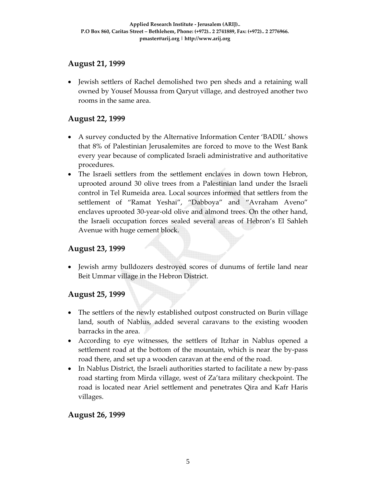## **August 21, 1999**

• Jewish settlers of Rachel demolished two pen sheds and a retaining wall owned by Yousef Moussa from Qaryut village, and destroyed another two rooms in the same area.

## **August 22, 1999**

- A survey conducted by the Alternative Information Center 'BADIL' shows that 8% of Palestinian Jerusalemites are forced to move to the West Bank every year because of complicated Israeli administrative and authoritative procedures.
- The Israeli settlers from the settlement enclaves in down town Hebron, uprooted around 30 olive trees from a Palestinian land under the Israeli control in Tel Rumeida area. Local sources informed that settlers from the settlement of "Ramat Yeshai", "Dabboya" and "Avraham Aveno" enclaves uprooted 30‐year‐old olive and almond trees. On the other hand, the Israeli occupation forces sealed several areas of Hebron's El Sahleh Avenue with huge cement block.

### **August 23, 1999**

• Jewish army bulldozers destroyed scores of dunums of fertile land near Beit Ummar village in the Hebron District.

### **August 25, 1999**

- The settlers of the newly established outpost constructed on Burin village land, south of Nablus, added several caravans to the existing wooden barracks in the area.
- According to eye witnesses, the settlers of Itzhar in Nablus opened a settlement road at the bottom of the mountain, which is near the by‐pass road there, and set up a wooden caravan at the end of the road.
- In Nablus District, the Israeli authorities started to facilitate a new by-pass road starting from Mirda village, west of Za'tara military checkpoint. The road is located near Ariel settlement and penetrates Qira and Kafr Haris villages.

### **August 26, 1999**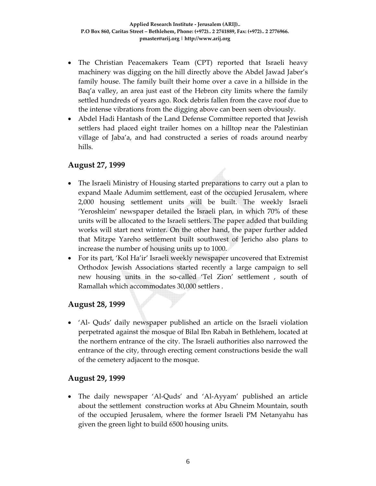- The Christian Peacemakers Team (CPT) reported that Israeli heavy machinery was digging on the hill directly above the Abdel Jawad Jaber's family house. The family built their home over a cave in a hillside in the Baq'a valley, an area just east of the Hebron city limits where the family settled hundreds of years ago. Rock debris fallen from the cave roof due to the intense vibrations from the digging above can been seen obviously.
- Abdel Hadi Hantash of the Land Defense Committee reported that Jewish settlers had placed eight trailer homes on a hilltop near the Palestinian village of Jaba'a, and had constructed a series of roads around nearby hills.

## **August 27, 1999**

- The Israeli Ministry of Housing started preparations to carry out a plan to expand Maale Adumim settlement, east of the occupied Jerusalem, where 2,000 housing settlement units will be built. The weekly Israeli 'Yeroshleim' newspaper detailed the Israeli plan, in which 70% of these units will be allocated to the Israeli settlers. The paper added that building works will start next winter. On the other hand, the paper further added that Mitzpe Yareho settlement built southwest of Jericho also plans to increase the number of housing units up to 1000.
- For its part, 'Kol Ha'ir' Israeli weekly newspaper uncovered that Extremist Orthodox Jewish Associations started recently a large campaign to sell new housing units in the so-called 'Tel Zion' settlement, south of Ramallah which accommodates 30,000 settlers .

### **August 28, 1999**

• 'Al- Quds' daily newspaper published an article on the Israeli violation perpetrated against the mosque of Bilal Ibn Rabah in Bethlehem, located at the northern entrance of the city. The Israeli authorities also narrowed the entrance of the city, through erecting cement constructions beside the wall of the cemetery adjacent to the mosque.

### **August 29, 1999**

• The daily newspaper 'Al‐Quds' and 'Al‐Ayyam' published an article about the settlement construction works at Abu Ghneim Mountain, south of the occupied Jerusalem, where the former Israeli PM Netanyahu has given the green light to build 6500 housing units.